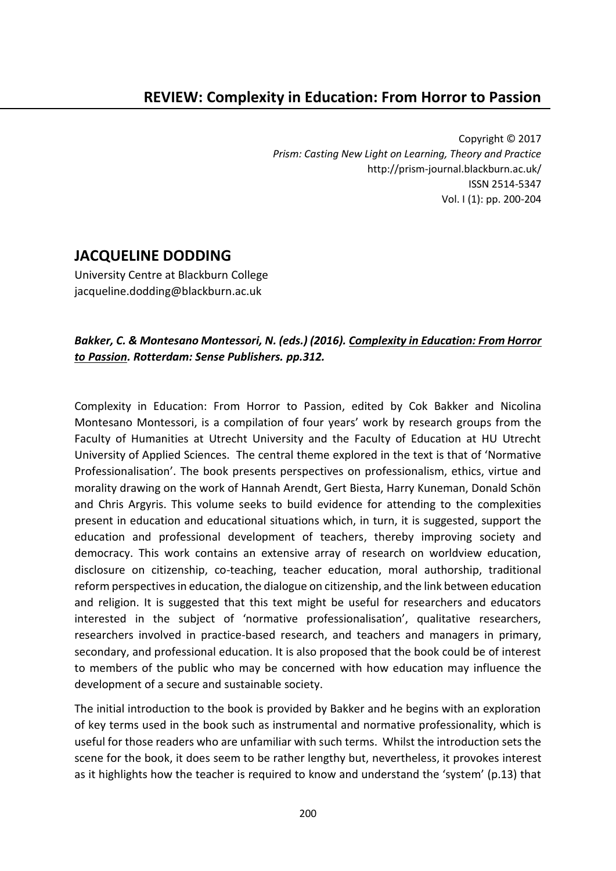Copyright © 2017 *Prism: Casting New Light on Learning, Theory and Practice* http://prism-journal.blackburn.ac.uk/ ISSN 2514-5347 Vol. I (1): pp. 200-204

## **JACQUELINE DODDING**

University Centre at Blackburn College jacqueline.dodding@blackburn.ac.uk

## *Bakker, C. & Montesano Montessori, N. (eds.) (2016). Complexity in Education: From Horror to Passion. Rotterdam: Sense Publishers. pp.312.*

Complexity in Education: From Horror to Passion, edited by Cok Bakker and Nicolina Montesano Montessori, is a compilation of four years' work by research groups from the Faculty of Humanities at Utrecht University and the Faculty of Education at HU Utrecht University of Applied Sciences. The central theme explored in the text is that of 'Normative Professionalisation'. The book presents perspectives on professionalism, ethics, virtue and morality drawing on the work of Hannah Arendt, Gert Biesta, Harry Kuneman, Donald Schön and Chris Argyris. This volume seeks to build evidence for attending to the complexities present in education and educational situations which, in turn, it is suggested, support the education and professional development of teachers, thereby improving society and democracy. This work contains an extensive array of research on worldview education, disclosure on citizenship, co-teaching, teacher education, moral authorship, traditional reform perspectives in education, the dialogue on citizenship, and the link between education and religion. It is suggested that this text might be useful for researchers and educators interested in the subject of 'normative professionalisation', qualitative researchers, researchers involved in practice-based research, and teachers and managers in primary, secondary, and professional education. It is also proposed that the book could be of interest to members of the public who may be concerned with how education may influence the development of a secure and sustainable society.

The initial introduction to the book is provided by Bakker and he begins with an exploration of key terms used in the book such as instrumental and normative professionality, which is useful for those readers who are unfamiliar with such terms. Whilst the introduction sets the scene for the book, it does seem to be rather lengthy but, nevertheless, it provokes interest as it highlights how the teacher is required to know and understand the 'system' (p.13) that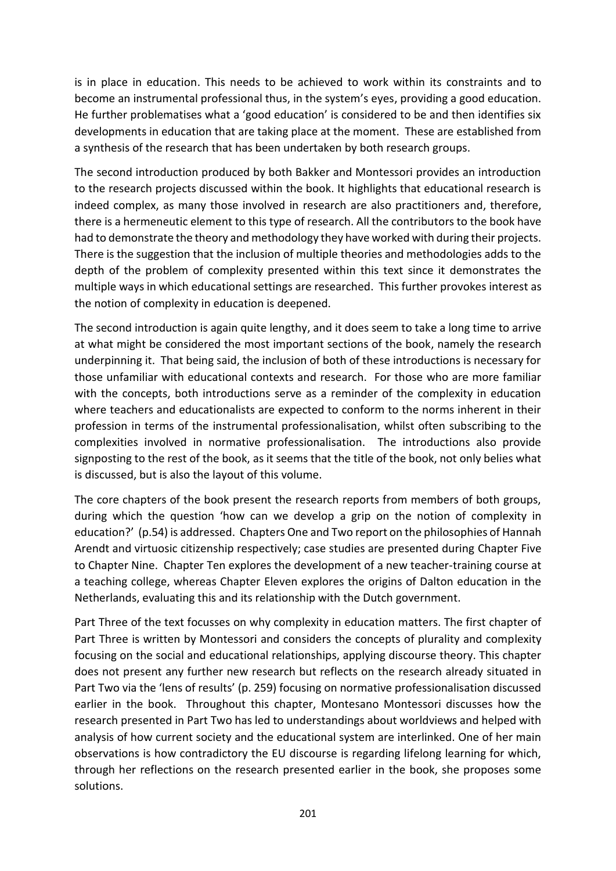is in place in education. This needs to be achieved to work within its constraints and to become an instrumental professional thus, in the system's eyes, providing a good education. He further problematises what a 'good education' is considered to be and then identifies six developments in education that are taking place at the moment. These are established from a synthesis of the research that has been undertaken by both research groups.

The second introduction produced by both Bakker and Montessori provides an introduction to the research projects discussed within the book. It highlights that educational research is indeed complex, as many those involved in research are also practitioners and, therefore, there is a hermeneutic element to this type of research. All the contributors to the book have had to demonstrate the theory and methodology they have worked with during their projects. There is the suggestion that the inclusion of multiple theories and methodologies adds to the depth of the problem of complexity presented within this text since it demonstrates the multiple ways in which educational settings are researched. This further provokes interest as the notion of complexity in education is deepened.

The second introduction is again quite lengthy, and it does seem to take a long time to arrive at what might be considered the most important sections of the book, namely the research underpinning it. That being said, the inclusion of both of these introductions is necessary for those unfamiliar with educational contexts and research. For those who are more familiar with the concepts, both introductions serve as a reminder of the complexity in education where teachers and educationalists are expected to conform to the norms inherent in their profession in terms of the instrumental professionalisation, whilst often subscribing to the complexities involved in normative professionalisation. The introductions also provide signposting to the rest of the book, as it seems that the title of the book, not only belies what is discussed, but is also the layout of this volume.

The core chapters of the book present the research reports from members of both groups, during which the question 'how can we develop a grip on the notion of complexity in education?' (p.54) is addressed. Chapters One and Two report on the philosophies of Hannah Arendt and virtuosic citizenship respectively; case studies are presented during Chapter Five to Chapter Nine. Chapter Ten explores the development of a new teacher-training course at a teaching college, whereas Chapter Eleven explores the origins of Dalton education in the Netherlands, evaluating this and its relationship with the Dutch government.

Part Three of the text focusses on why complexity in education matters. The first chapter of Part Three is written by Montessori and considers the concepts of plurality and complexity focusing on the social and educational relationships, applying discourse theory. This chapter does not present any further new research but reflects on the research already situated in Part Two via the 'lens of results' (p. 259) focusing on normative professionalisation discussed earlier in the book. Throughout this chapter, Montesano Montessori discusses how the research presented in Part Two has led to understandings about worldviews and helped with analysis of how current society and the educational system are interlinked. One of her main observations is how contradictory the EU discourse is regarding lifelong learning for which, through her reflections on the research presented earlier in the book, she proposes some solutions.